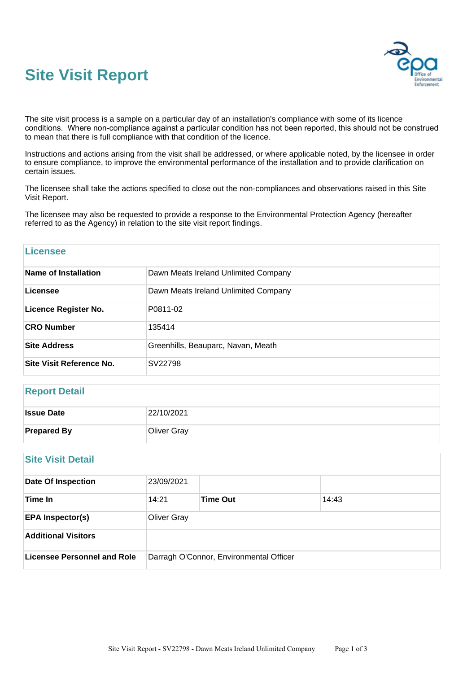# **Site Visit Report**



The site visit process is a sample on a particular day of an installation's compliance with some of its licence conditions. Where non-compliance against a particular condition has not been reported, this should not be construed to mean that there is full compliance with that condition of the licence.

Instructions and actions arising from the visit shall be addressed, or where applicable noted, by the licensee in order to ensure compliance, to improve the environmental performance of the installation and to provide clarification on certain issues.

The licensee shall take the actions specified to close out the non-compliances and observations raised in this Site Visit Report.

The licensee may also be requested to provide a response to the Environmental Protection Agency (hereafter referred to as the Agency) in relation to the site visit report findings.

| Licensee                        |                                      |  |  |  |
|---------------------------------|--------------------------------------|--|--|--|
| Name of Installation            | Dawn Meats Ireland Unlimited Company |  |  |  |
| Licensee                        | Dawn Meats Ireland Unlimited Company |  |  |  |
| <b>Licence Register No.</b>     | P0811-02                             |  |  |  |
| <b>CRO Number</b>               | 135414                               |  |  |  |
| <b>Site Address</b>             | Greenhills, Beauparc, Navan, Meath   |  |  |  |
| <b>Site Visit Reference No.</b> | SV22798                              |  |  |  |

## **Report Detail**

| <b>Issue Date</b>  | 22/10/2021         |
|--------------------|--------------------|
| <b>Prepared By</b> | <b>Oliver Gray</b> |

## **Site Visit Detail**

| <b>Date Of Inspection</b>   | 23/09/2021                              |                 |       |  |  |  |
|-----------------------------|-----------------------------------------|-----------------|-------|--|--|--|
| Time In                     | 14:21                                   | <b>Time Out</b> | 14:43 |  |  |  |
| <b>EPA Inspector(s)</b>     | <b>Oliver Gray</b>                      |                 |       |  |  |  |
| <b>Additional Visitors</b>  |                                         |                 |       |  |  |  |
| Licensee Personnel and Role | Darragh O'Connor, Environmental Officer |                 |       |  |  |  |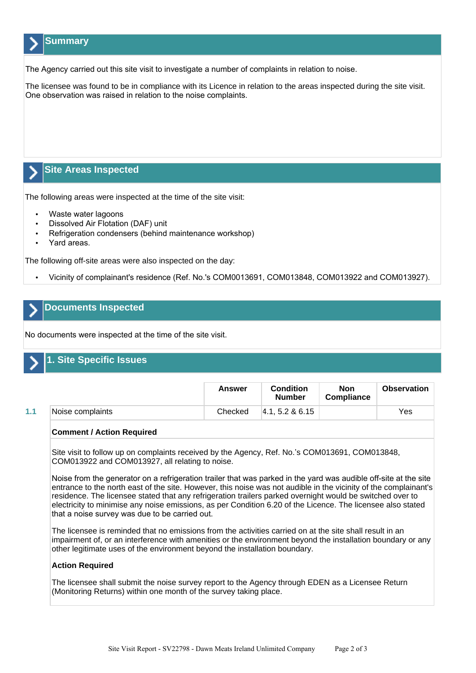# **Summary**

The Agency carried out this site visit to investigate a number of complaints in relation to noise.

The licensee was found to be in compliance with its Licence in relation to the areas inspected during the site visit. One observation was raised in relation to the noise complaints.

# **Site Areas Inspected**

The following areas were inspected at the time of the site visit:

- Waste water lagoons
- Dissolved Air Flotation (DAF) unit
- Refrigeration condensers (behind maintenance workshop)
- Yard areas.

The following off-site areas were also inspected on the day:

• Vicinity of complainant's residence (Ref. No.'s COM0013691, COM013848, COM013922 and COM013927).

# **Documents Inspected**

No documents were inspected at the time of the site visit.

# **1. Site Specific Issues**

|     |                  | <b>Answer</b> | Condition<br><b>Number</b> | Non<br><b>Compliance</b> | <b>Observation</b> |
|-----|------------------|---------------|----------------------------|--------------------------|--------------------|
| 1.1 | Noise complaints | Checked       | $ 4.1.5.2 \& 6.15$         |                          | Yes                |

#### **Comment / Action Required**

Site visit to follow up on complaints received by the Agency, Ref. No.'s COM013691, COM013848, COM013922 and COM013927, all relating to noise.

Noise from the generator on a refrigeration trailer that was parked in the yard was audible off-site at the site entrance to the north east of the site. However, this noise was not audible in the vicinity of the complainant's residence. The licensee stated that any refrigeration trailers parked overnight would be switched over to electricity to minimise any noise emissions, as per Condition 6.20 of the Licence. The licensee also stated that a noise survey was due to be carried out.

The licensee is reminded that no emissions from the activities carried on at the site shall result in an impairment of, or an interference with amenities or the environment beyond the installation boundary or any other legitimate uses of the environment beyond the installation boundary.

#### **Action Required**

The licensee shall submit the noise survey report to the Agency through EDEN as a Licensee Return (Monitoring Returns) within one month of the survey taking place.